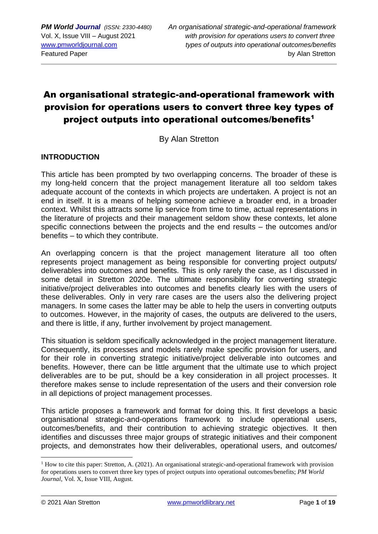# An organisational strategic-and-operational framework with provision for operations users to convert three key types of project outputs into operational outcomes/benefits<sup>1</sup>

By Alan Stretton

## **INTRODUCTION**

This article has been prompted by two overlapping concerns. The broader of these is my long-held concern that the project management literature all too seldom takes adequate account of the contexts in which projects are undertaken. A project is not an end in itself. It is a means of helping someone achieve a broader end, in a broader context. Whilst this attracts some lip service from time to time, actual representations in the literature of projects and their management seldom show these contexts, let alone specific connections between the projects and the end results – the outcomes and/or benefits – to which they contribute.

An overlapping concern is that the project management literature all too often represents project management as being responsible for converting project outputs/ deliverables into outcomes and benefits. This is only rarely the case, as I discussed in some detail in Stretton 2020e. The ultimate responsibility for converting strategic initiative/project deliverables into outcomes and benefits clearly lies with the users of these deliverables. Only in very rare cases are the users also the delivering project managers. In some cases the latter may be able to help the users in converting outputs to outcomes. However, in the majority of cases, the outputs are delivered to the users, and there is little, if any, further involvement by project management.

This situation is seldom specifically acknowledged in the project management literature. Consequently, its processes and models rarely make specific provision for users, and for their role in converting strategic initiative/project deliverable into outcomes and benefits. However, there can be little argument that the ultimate use to which project deliverables are to be put, should be a key consideration in all project processes. It therefore makes sense to include representation of the users and their conversion role in all depictions of project management processes.

This article proposes a framework and format for doing this. It first develops a basic organisational strategic-and-operations framework to include operational users, outcomes/benefits, and their contribution to achieving strategic objectives. It then identifies and discusses three major groups of strategic initiatives and their component projects, and demonstrates how their deliverables, operational users, and outcomes/

<sup>&</sup>lt;sup>1</sup> How to cite this paper: Stretton, A. (2021). An organisational strategic-and-operational framework with provision for operations users to convert three key types of project outputs into operational outcomes/benefits; *PM World Journal*, Vol. X, Issue VIII, August.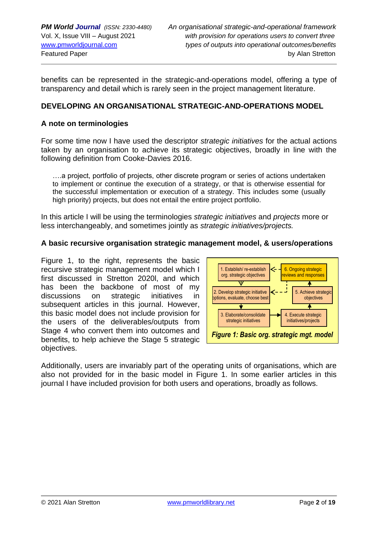benefits can be represented in the strategic-and-operations model, offering a type of transparency and detail which is rarely seen in the project management literature.

## **DEVELOPING AN ORGANISATIONAL STRATEGIC-AND-OPERATIONS MODEL**

#### **A note on terminologies**

For some time now I have used the descriptor *strategic initiatives* for the actual actions taken by an organisation to achieve its strategic objectives, broadly in line with the following definition from Cooke-Davies 2016.

….a project, portfolio of projects, other discrete program or series of actions undertaken to implement or continue the execution of a strategy, or that is otherwise essential for the successful implementation or execution of a strategy. This includes some (usually high priority) projects, but does not entail the entire project portfolio.

In this article I will be using the terminologies *strategic initiatives* and *projects* more or less interchangeably, and sometimes jointly as *strategic initiatives/projects.*

#### **A basic recursive organisation strategic management model, & users/operations**

Figure 1, to the right, represents the basic recursive strategic management model which I first discussed in Stretton 2020l, and which has been the backbone of most of my discussions on strategic initiatives in subsequent articles in this journal. However, this basic model does not include provision for the users of the deliverables/outputs from Stage 4 who convert them into outcomes and benefits, to help achieve the Stage 5 strategic objectives.



Additionally, users are invariably part of the operating units of organisations, which are also not provided for in the basic model in Figure 1. In some earlier articles in this journal I have included provision for both users and operations, broadly as follows.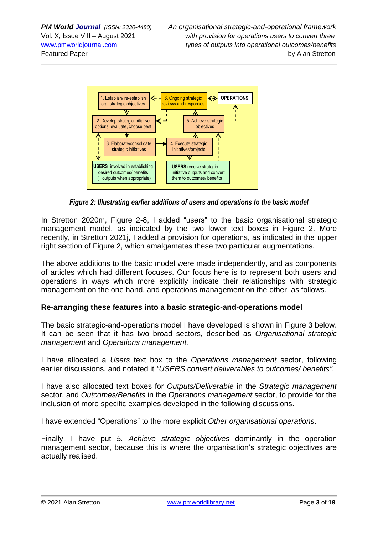

*Figure 2: Illustrating earlier additions of users and operations to the basic model*

In Stretton 2020m, Figure 2-8, I added "users" to the basic organisational strategic management model, as indicated by the two lower text boxes in Figure 2. More recently, in Stretton 2021j, I added a provision for operations, as indicated in the upper right section of Figure 2, which amalgamates these two particular augmentations.

The above additions to the basic model were made independently, and as components of articles which had different focuses. Our focus here is to represent both users and operations in ways which more explicitly indicate their relationships with strategic management on the one hand, and operations management on the other, as follows.

## **Re-arranging these features into a basic strategic-and-operations model**

The basic strategic-and-operations model I have developed is shown in Figure 3 below. It can be seen that it has two broad sectors, described as *Organisational strategic management* and *Operations management.* 

I have allocated a *Users* text box to the *Operations management* sector, following earlier discussions, and notated it *"USERS convert deliverables to outcomes/ benefits".*

I have also allocated text boxes for *Outputs/Deliverable* in the *Strategic management*  sector, and *Outcomes/Benefits* in the *Operations management* sector, to provide for the inclusion of more specific examples developed in the following discussions.

I have extended "Operations" to the more explicit *Other organisational operations*.

Finally, I have put *5. Achieve strategic objectives* dominantly in the operation management sector, because this is where the organisation's strategic objectives are actually realised.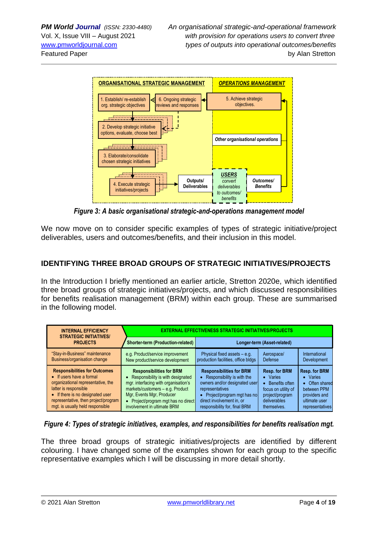*PM World Journal (ISSN: 2330-4480) An organisational strategic-and-operational framework* Vol. X, Issue VIII – August 2021 *with provision for operations users to convert three* [www.pmworldjournal.com](http://www.pmworldjournal.com/) *types of outputs into operational outcomes/benefits* Featured Paper by Alan Stretton and the Stretton by Alan Stretton by Alan Stretton



*Figure 3: A basic organisational strategic-and-operations management model*

We now move on to consider specific examples of types of strategic initiative/project deliverables, users and outcomes/benefits, and their inclusion in this model.

## **IDENTIFYING THREE BROAD GROUPS OF STRATEGIC INITIATIVES/PROJECTS**

In the Introduction I briefly mentioned an earlier article, Stretton 2020e, which identified three broad groups of strategic initiatives/projects, and which discussed responsibilities for benefits realisation management (BRM) within each group. These are summarised in the following model.

| <b>INTERNAL EFFICIENCY</b><br><b>STRATEGIC INITIATIVES/</b>                                                                                                                                                                                     | <b>EXTERNAL EFFECTIVENESS STRATEGIC INITIATIVES/PROJECTS</b>                                                                                                                                                                                        |                                                                                                                                                                                                                   |                                                                                                                             |                                                                                                                                   |  |
|-------------------------------------------------------------------------------------------------------------------------------------------------------------------------------------------------------------------------------------------------|-----------------------------------------------------------------------------------------------------------------------------------------------------------------------------------------------------------------------------------------------------|-------------------------------------------------------------------------------------------------------------------------------------------------------------------------------------------------------------------|-----------------------------------------------------------------------------------------------------------------------------|-----------------------------------------------------------------------------------------------------------------------------------|--|
| <b>PROJECTS</b>                                                                                                                                                                                                                                 | Shorter-term (Production-related)                                                                                                                                                                                                                   | Longer-term (Asset-related)                                                                                                                                                                                       |                                                                                                                             |                                                                                                                                   |  |
| "Stay-in-Business" maintenance<br>Business/organisation change                                                                                                                                                                                  | e.g. Product/service improvement<br>New product/service development                                                                                                                                                                                 | Physical fixed assets - e.g.<br>production facilities, office bldgs                                                                                                                                               | Aerospace/<br>Defense                                                                                                       | International<br>Development                                                                                                      |  |
| <b>Responsibilities for Outcomes</b><br>• If users have a formal<br>organizational representative, the<br>latter is responsible<br>• If there is no designated user<br>representative, then project/program<br>mgt. is usually held responsible | <b>Responsibilities for BRM</b><br>Responsibility is with designated<br>mgr. interfacing with organisation's<br>markets/customers - e.g. Product<br>Mgr, Events Mgr, Producer<br>• Project/program mgt has no direct<br>involvement in ultimate BRM | <b>Responsibilities for BRM</b><br>• Responsibility is with the<br>owners and/or designated user<br>representatives<br>• Project/program mgt has no<br>direct involvement in, or<br>responsibility for, final BRM | <b>Resp. for BRM</b><br>• Varies<br>Benefits often<br>focus on utility of<br>project/program<br>deliverables<br>themselves. | <b>Resp. for BRM</b><br>• Varies<br>Often shared<br>$\bullet$<br>between PPM<br>providers and<br>ultimate user<br>representatives |  |

*Figure 4: Types of strategic initiatives, examples, and responsibilities for benefits realisation mgt.*

The three broad groups of strategic initiatives/projects are identified by different colouring. I have changed some of the examples shown for each group to the specific representative examples which I will be discussing in more detail shortly.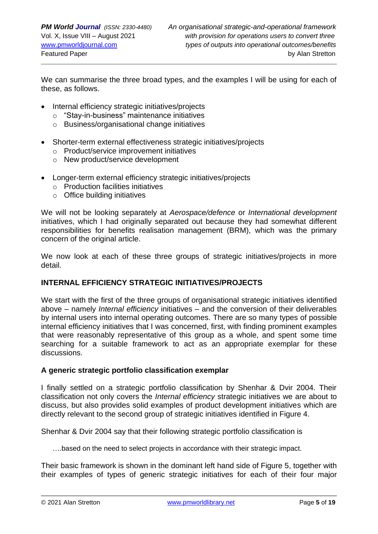We can summarise the three broad types, and the examples I will be using for each of these, as follows.

- Internal efficiency strategic initiatives/projects
	- o "Stay-in-business" maintenance initiatives
	- o Business/organisational change initiatives
- Shorter-term external effectiveness strategic initiatives/projects
	- o Product/service improvement initiatives
	- o New product/service development
- Longer-term external efficiency strategic initiatives/projects
	- o Production facilities initiatives
	- o Office building initiatives

We will not be looking separately at *Aerospace/defence* or *International development*  initiatives, which I had originally separated out because they had somewhat different responsibilities for benefits realisation management (BRM), which was the primary concern of the original article.

We now look at each of these three groups of strategic initiatives/projects in more detail.

### **INTERNAL EFFICIENCY STRATEGIC INITIATIVES/PROJECTS**

We start with the first of the three groups of organisational strategic initiatives identified above – namely *Internal efficiency* initiatives – and the conversion of their deliverables by internal users into internal operating outcomes. There are so many types of possible internal efficiency initiatives that I was concerned, first, with finding prominent examples that were reasonably representative of this group as a whole, and spent some time searching for a suitable framework to act as an appropriate exemplar for these discussions.

### **A generic strategic portfolio classification exemplar**

I finally settled on a strategic portfolio classification by Shenhar & Dvir 2004. Their classification not only covers the *Internal efficiency* strategic initiatives we are about to discuss, but also provides solid examples of product development initiatives which are directly relevant to the second group of strategic initiatives identified in Figure 4.

Shenhar & Dvir 2004 say that their following strategic portfolio classification is

….based on the need to select projects in accordance with their strategic impact.

Their basic framework is shown in the dominant left hand side of Figure 5, together with their examples of types of generic strategic initiatives for each of their four major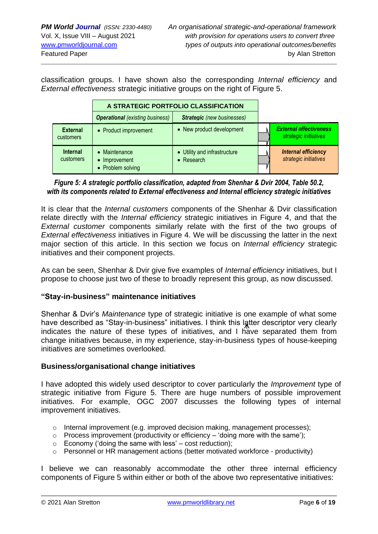classification groups. I have shown also the corresponding *Internal efficiency* and *External effectiveness* strategic initiative groups on the right of Figure 5.

|                              | A STRATEGIC PORTFOLIO CLASSIFICATION                |                                                    |  |                                                        |
|------------------------------|-----------------------------------------------------|----------------------------------------------------|--|--------------------------------------------------------|
|                              | <b>Operational</b> (existing business)              | <b>Strategic</b> (new businesses)                  |  |                                                        |
| <b>External</b><br>customers | • Product improvement                               | • New product development                          |  | <b>External effectiveness</b><br>strategic initiatives |
| <b>Internal</b><br>customers | • Maintenance<br>• Improvement<br>• Problem solving | • Utility and infrastructure<br>$\bullet$ Research |  | <b>Internal efficiency</b><br>strategic initiatives    |

#### *Figure 5: A strategic portfolio classification, adapted from Shenhar & Dvir 2004, Table 50.2, with its components related to External effectiveness and Internal efficiency strategic initiatives*

It is clear that the *Internal customers* components of the Shenhar & Dvir classification relate directly with the *Internal efficiency* strategic initiatives in Figure 4, and that the *External customer* components similarly relate with the first of the two groups of *External effectiveness* initiatives in Figure 4. We will be discussing the latter in the next major section of this article. In this section we focus on *Internal efficiency* strategic initiatives and their component projects.

As can be seen, Shenhar & Dvir give five examples of *Internal efficiency* initiatives, but I propose to choose just two of these to broadly represent this group, as now discussed.

## **"Stay-in-business" maintenance initiatives**

Shenhar & Dvir's *Maintenance* type of strategic initiative is one example of what some have described as "Stay-in-business" initiatives. I think this latter descriptor very clearly indicates the nature of these types of initiatives, and  $\overline{I}$  have separated them from change initiatives because, in my experience, stay-in-business types of house-keeping initiatives are sometimes overlooked.

## **Business/organisational change initiatives**

I have adopted this widely used descriptor to cover particularly the *Improvement* type of strategic initiative from Figure 5. There are huge numbers of possible improvement initiatives. For example, OGC 2007 discusses the following types of internal improvement initiatives.

- o Internal improvement (e.g. improved decision making, management processes);
- $\circ$  Process improvement (productivity or efficiency 'doing more with the same');
- $\circ$  Economy ('doing the same with less' cost reduction);
- o Personnel or HR management actions (better motivated workforce productivity)

I believe we can reasonably accommodate the other three internal efficiency components of Figure 5 within either or both of the above two representative initiatives: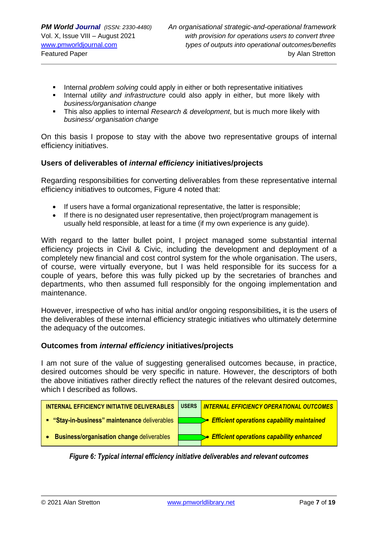- Internal *problem solving* could apply in either or both representative initiatives
- **EXT** Internal *utility and infrastructure* could also apply in either, but more likely with *business/organisation change*
- This also applies to internal *Research & development*, but is much more likely with *business/ organisation change*

On this basis I propose to stay with the above two representative groups of internal efficiency initiatives.

#### **Users of deliverables of** *internal efficiency* **initiatives/projects**

Regarding responsibilities for converting deliverables from these representative internal efficiency initiatives to outcomes, Figure 4 noted that:

- If users have a formal organizational representative, the latter is responsible;
- If there is no designated user representative, then project/program management is usually held responsible, at least for a time (if my own experience is any guide).

With regard to the latter bullet point, I project managed some substantial internal efficiency projects in Civil & Civic, including the development and deployment of a completely new financial and cost control system for the whole organisation. The users, of course, were virtually everyone, but I was held responsible for its success for a couple of years, before this was fully picked up by the secretaries of branches and departments, who then assumed full responsibly for the ongoing implementation and maintenance.

However, irrespective of who has initial and/or ongoing responsibilities**,** it is the users of the deliverables of these internal efficiency strategic initiatives who ultimately determine the adequacy of the outcomes.

#### **Outcomes from** *internal efficiency* **initiatives/projects**

I am not sure of the value of suggesting generalised outcomes because, in practice, desired outcomes should be very specific in nature. However, the descriptors of both the above initiatives rather directly reflect the natures of the relevant desired outcomes, which I described as follows.



*Figure 6: Typical internal efficiency initiative deliverables and relevant outcomes*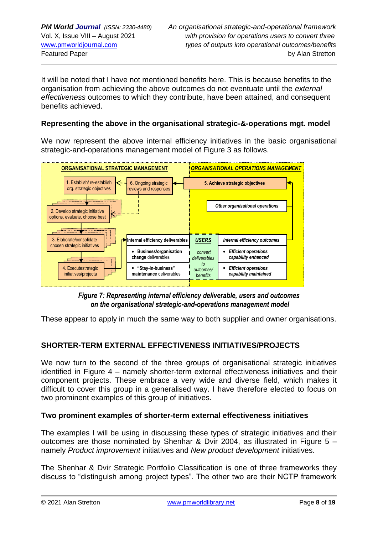It will be noted that I have not mentioned benefits here. This is because benefits to the organisation from achieving the above outcomes do not eventuate until the *external effectiveness* outcomes to which they contribute, have been attained, and consequent benefits achieved.

## **Representing the above in the organisational strategic-&-operations mgt. model**

We now represent the above internal efficiency initiatives in the basic organisational strategic-and-operations management model of Figure 3 as follows.



*Figure 7: Representing internal efficiency deliverable, users and outcomes on the organisational strategic-and-operations management model*

These appear to apply in much the same way to both supplier and owner organisations.

## **SHORTER-TERM EXTERNAL EFFECTIVENESS INITIATIVES/PROJECTS**

We now turn to the second of the three groups of organisational strategic initiatives identified in Figure 4 – namely shorter-term external effectiveness initiatives and their component projects. These embrace a very wide and diverse field, which makes it difficult to cover this group in a generalised way. I have therefore elected to focus on two prominent examples of this group of initiatives.

### **Two prominent examples of shorter-term external effectiveness initiatives**

The examples I will be using in discussing these types of strategic initiatives and their outcomes are those nominated by Shenhar & Dvir 2004, as illustrated in Figure 5 – namely *Product improvement* initiatives and *New product development* initiatives.

The Shenhar & Dvir Strategic Portfolio Classification is one of three frameworks they discuss to "distinguish among project types". The other two are their NCTP framework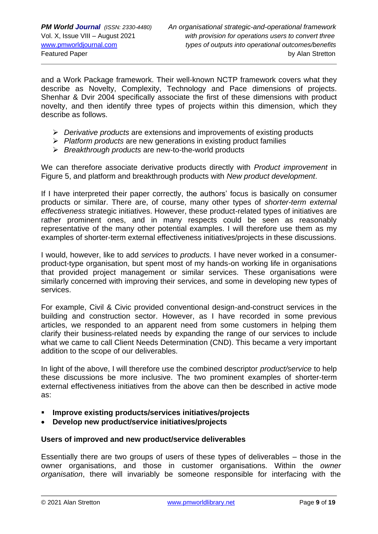and a Work Package framework. Their well-known NCTP framework covers what they describe as Novelty, Complexity, Technology and Pace dimensions of projects. Shenhar & Dvir 2004 specifically associate the first of these dimensions with product novelty, and then identify three types of projects within this dimension, which they describe as follows.

- ➢ *Derivative products* are extensions and improvements of existing products
- ➢ *Platform products* are new generations in existing product families
- ➢ *Breakthrough products* are new-to-the-world products

We can therefore associate derivative products directly with *Product improvement* in Figure 5, and platform and breakthrough products with *New product development*.

If I have interpreted their paper correctly, the authors' focus is basically on consumer products or similar. There are, of course, many other types of *shorter-term external effectiveness* strategic initiatives. However, these product-related types of initiatives are rather prominent ones, and in many respects could be seen as reasonably representative of the many other potential examples. I will therefore use them as my examples of shorter-term external effectiveness initiatives/projects in these discussions.

I would, however, like to add *services* to *products.* I have never worked in a consumerproduct-type organisation, but spent most of my hands-on working life in organisations that provided project management or similar services. These organisations were similarly concerned with improving their services, and some in developing new types of services.

For example, Civil & Civic provided conventional design-and-construct services in the building and construction sector. However, as I have recorded in some previous articles, we responded to an apparent need from some customers in helping them clarify their business-related needs by expanding the range of our services to include what we came to call Client Needs Determination (CND). This became a very important addition to the scope of our deliverables.

In light of the above, I will therefore use the combined descriptor *product/service* to help these discussions be more inclusive. The two prominent examples of shorter-term external effectiveness initiatives from the above can then be described in active mode as:

- **Improve existing products/services initiatives/projects**
- **Develop new product/service initiatives/projects**

### **Users of improved and new product/service deliverables**

Essentially there are two groups of users of these types of deliverables – those in the owner organisations, and those in customer organisations. Within the *owner organisation*, there will invariably be someone responsible for interfacing with the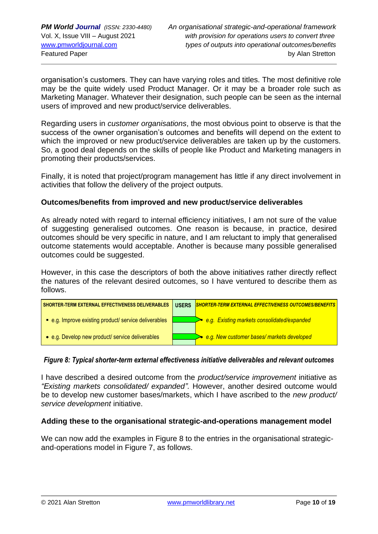organisation's customers. They can have varying roles and titles. The most definitive role may be the quite widely used Product Manager. Or it may be a broader role such as Marketing Manager. Whatever their designation, such people can be seen as the internal users of improved and new product/service deliverables.

Regarding users in *customer organisations*, the most obvious point to observe is that the success of the owner organisation's outcomes and benefits will depend on the extent to which the improved or new product/service deliverables are taken up by the customers. So, a good deal depends on the skills of people like Product and Marketing managers in promoting their products/services.

Finally, it is noted that project/program management has little if any direct involvement in activities that follow the delivery of the project outputs.

### **Outcomes/benefits from improved and new product/service deliverables**

As already noted with regard to internal efficiency initiatives, I am not sure of the value of suggesting generalised outcomes. One reason is because, in practice, desired outcomes should be very specific in nature, and I am reluctant to imply that generalised outcome statements would acceptable. Another is because many possible generalised outcomes could be suggested.

However, in this case the descriptors of both the above initiatives rather directly reflect the natures of the relevant desired outcomes, so I have ventured to describe them as follows.



#### *Figure 8: Typical shorter-term external effectiveness initiative deliverables and relevant outcomes*

I have described a desired outcome from the *product/service improvement* initiative as *"Existing markets consolidated/ expanded".* However, another desired outcome would be to develop new customer bases/markets, which I have ascribed to the *new product/ service development* initiative.

### **Adding these to the organisational strategic-and-operations management model**

We can now add the examples in Figure 8 to the entries in the organisational strategicand-operations model in Figure 7, as follows.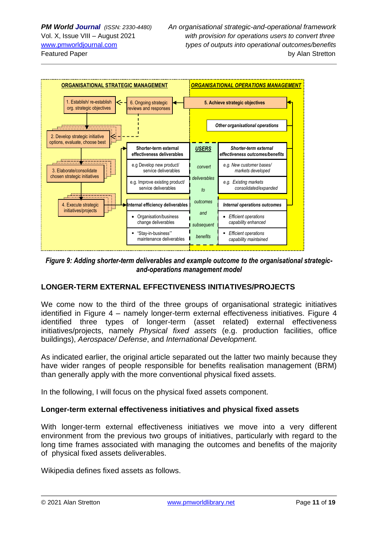



*Figure 9: Adding shorter-term deliverables and example outcome to the organisational strategicand-operations management model*

## **LONGER-TERM EXTERNAL EFFECTIVENESS INITIATIVES/PROJECTS**

We come now to the third of the three groups of organisational strategic initiatives identified in Figure 4 – namely longer-term external effectiveness initiatives. Figure 4 identified three types of longer-term (asset related) external effectiveness initiatives/projects, namely *Physical fixed assets* (e.g. production facilities, office buildings), *Aerospace/ Defense*, and *International Development.*

As indicated earlier, the original article separated out the latter two mainly because they have wider ranges of people responsible for benefits realisation management (BRM) than generally apply with the more conventional physical fixed assets.

In the following, I will focus on the physical fixed assets component.

## **Longer-term external effectiveness initiatives and physical fixed assets**

With longer-term external effectiveness initiatives we move into a very different environment from the previous two groups of initiatives, particularly with regard to the long time frames associated with managing the outcomes and benefits of the majority of physical fixed assets deliverables.

Wikipedia defines fixed assets as follows.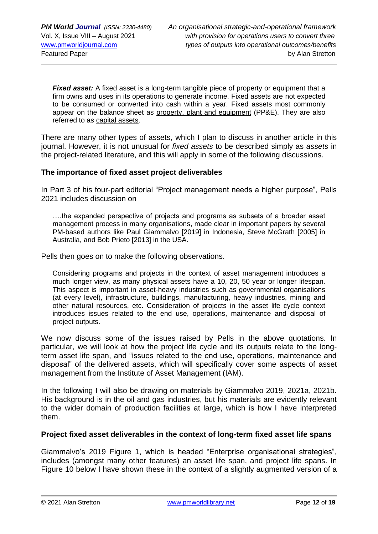*Fixed asset:* A fixed asset is a long-term tangible piece of property or equipment that a firm owns and uses in its operations to generate income. Fixed assets are not expected to be consumed or converted into cash within a year. Fixed assets most commonly appear on the balance sheet as property, plant and equipment (PP&E). They are also referred to as capital assets.

There are many other types of assets, which I plan to discuss in another article in this journal. However, it is not unusual for *fixed assets* to be described simply as *assets* in the project-related literature, and this will apply in some of the following discussions.

#### **The importance of fixed asset project deliverables**

In Part 3 of his four-part editorial "Project management needs a higher purpose", Pells 2021 includes discussion on

….the expanded perspective of projects and programs as subsets of a broader asset management process in many organisations, made clear in important papers by several PM-based authors like Paul Giammalvo [2019] in Indonesia, Steve McGrath [2005] in Australia, and Bob Prieto [2013] in the USA.

Pells then goes on to make the following observations.

Considering programs and projects in the context of asset management introduces a much longer view, as many physical assets have a 10, 20, 50 year or longer lifespan. This aspect is important in asset-heavy industries such as governmental organisations (at every level), infrastructure, buildings, manufacturing, heavy industries, mining and other natural resources, etc. Consideration of projects in the asset life cycle context introduces issues related to the end use, operations, maintenance and disposal of project outputs.

We now discuss some of the issues raised by Pells in the above quotations. In particular, we will look at how the project life cycle and its outputs relate to the longterm asset life span, and "issues related to the end use, operations, maintenance and disposal" of the delivered assets, which will specifically cover some aspects of asset management from the Institute of Asset Management (IAM).

In the following I will also be drawing on materials by Giammalvo 2019, 2021a, 2021b. His background is in the oil and gas industries, but his materials are evidently relevant to the wider domain of production facilities at large, which is how I have interpreted them.

#### **Project fixed asset deliverables in the context of long-term fixed asset life spans**

Giammalvo's 2019 Figure 1, which is headed "Enterprise organisational strategies", includes (amongst many other features) an asset life span, and project life spans. In Figure 10 below I have shown these in the context of a slightly augmented version of a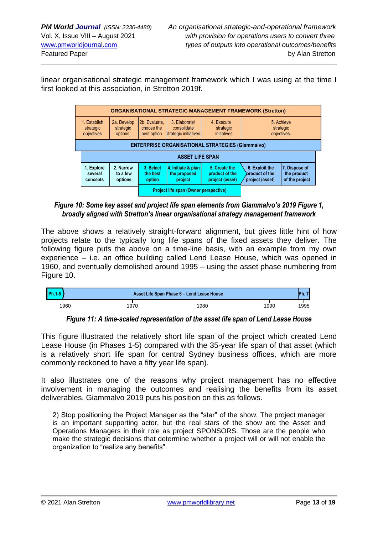linear organisational strategic management framework which I was using at the time I first looked at this association, in Stretton 2019f.



*Figure 10: Some key asset and project life span elements from Giammalvo's 2019 Figure 1, broadly aligned with Stretton's linear organisational strategy management framework*

The above shows a relatively straight-forward alignment, but gives little hint of how projects relate to the typically long life spans of the fixed assets they deliver. The following figure puts the above on a time-line basis, with an example from my own experience – i.e. an office building called Lend Lease House, which was opened in 1960, and eventually demolished around 1995 – using the asset phase numbering from Figure 10.



*Figure 11: A time-scaled representation of the asset life span of Lend Lease House* 

This figure illustrated the relatively short life span of the project which created Lend Lease House (in Phases 1-5) compared with the 35-year life span of that asset (which is a relatively short life span for central Sydney business offices, which are more commonly reckoned to have a fifty year life span).

It also illustrates one of the reasons why project management has no effective involvement in managing the outcomes and realising the benefits from its asset deliverables. Giammalvo 2019 puts his position on this as follows.

2) Stop positioning the Project Manager as the "star" of the show. The project manager is an important supporting actor, but the real stars of the show are the Asset and Operations Managers in their role as project SPONSORS. Those are the people who make the strategic decisions that determine whether a project will or will not enable the organization to "realize any benefits".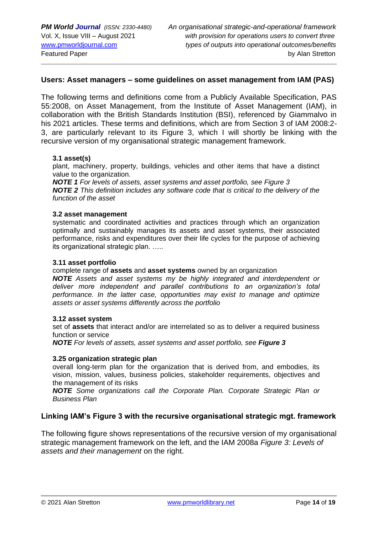#### **Users: Asset managers – some guidelines on asset management from IAM (PAS)**

The following terms and definitions come from a Publicly Available Specification, PAS 55:2008, on Asset Management, from the Institute of Asset Management (IAM), in collaboration with the British Standards Institution (BSI), referenced by Giammalvo in his 2021 articles. These terms and definitions, which are from Section 3 of IAM 2008:2- 3, are particularly relevant to its Figure 3, which I will shortly be linking with the recursive version of my organisational strategic management framework.

#### **3.1 asset(s)**

plant, machinery, property, buildings, vehicles and other items that have a distinct value to the organization.

*NOTE 1 For levels of assets, asset systems and asset portfolio, see Figure 3 NOTE 2 This definition includes any software code that is critical to the delivery of the function of the asset*

#### **3.2 asset management**

systematic and coordinated activities and practices through which an organization optimally and sustainably manages its assets and asset systems, their associated performance, risks and expenditures over their life cycles for the purpose of achieving its organizational strategic plan. …..

#### **3.11 asset portfolio**

complete range of **assets** and **asset systems** owned by an organization

*NOTE Assets and asset systems my be highly integrated and interdependent or deliver more independent and parallel contributions to an organization's total performance. In the latter case, opportunities may exist to manage and optimize assets or asset systems differently across the portfolio*

#### **3.12 asset system**

set of **assets** that interact and/or are interrelated so as to deliver a required business function or service

*NOTE For levels of assets, asset systems and asset portfolio, see Figure 3*

#### **3.25 organization strategic plan**

overall long-term plan for the organization that is derived from, and embodies, its vision, mission, values, business policies, stakeholder requirements, objectives and the management of its risks

*NOTE Some organizations call the Corporate Plan. Corporate Strategic Plan or Business Plan*

#### **Linking IAM's Figure 3 with the recursive organisational strategic mgt. framework**

The following figure shows representations of the recursive version of my organisational strategic management framework on the left, and the IAM 2008a *Figure 3: Levels of assets and their management* on the right.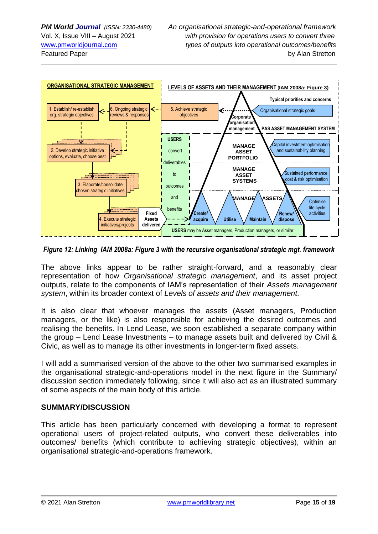

*Figure 12: Linking IAM 2008a: Figure 3 with the recursive organisational strategic mgt. framework*

The above links appear to be rather straight-forward, and a reasonably clear representation of how *Organisational strategic management*, and its asset project outputs, relate to the components of IAM's representation of their *Assets management system*, within its broader context of *Levels of assets and their management.*

It is also clear that whoever manages the assets (Asset managers, Production managers, or the like) is also responsible for achieving the desired outcomes and realising the benefits. In Lend Lease, we soon established a separate company within the group – Lend Lease Investments – to manage assets built and delivered by Civil & Civic, as well as to manage its other investments in longer-term fixed assets.

I will add a summarised version of the above to the other two summarised examples in the organisational strategic-and-operations model in the next figure in the Summary/ discussion section immediately following, since it will also act as an illustrated summary of some aspects of the main body of this article.

### **SUMMARY/DISCUSSION**

This article has been particularly concerned with developing a format to represent operational users of project-related outputs, who convert these deliverables into outcomes/ benefits (which contribute to achieving strategic objectives), within an organisational strategic-and-operations framework.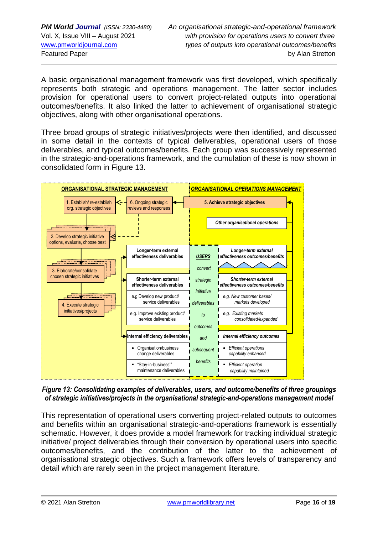A basic organisational management framework was first developed, which specifically represents both strategic and operations management. The latter sector includes provision for operational users to convert project-related outputs into operational outcomes/benefits. It also linked the latter to achievement of organisational strategic objectives, along with other organisational operations.

Three broad groups of strategic initiatives/projects were then identified, and discussed in some detail in the contexts of typical deliverables, operational users of those deliverables, and typical outcomes/benefits. Each group was successively represented in the strategic-and-operations framework, and the cumulation of these is now shown in consolidated form in Figure 13.



*Figure 13: Consolidating examples of deliverables, users, and outcome/benefits of three groupings of strategic initiatives/projects in the organisational strategic-and-operations management model*

This representation of operational users converting project-related outputs to outcomes and benefits within an organisational strategic-and-operations framework is essentially schematic. However, it does provide a model framework for tracking individual strategic initiative/ project deliverables through their conversion by operational users into specific outcomes/benefits, and the contribution of the latter to the achievement of organisational strategic objectives. Such a framework offers levels of transparency and detail which are rarely seen in the project management literature.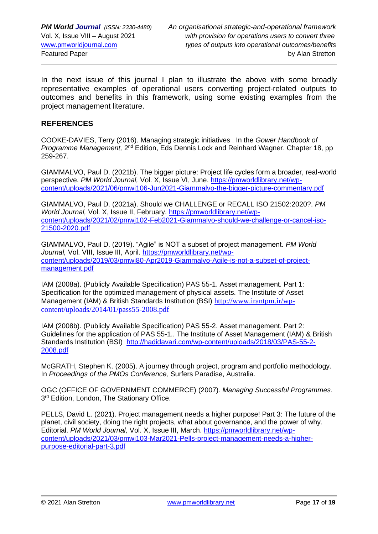In the next issue of this journal I plan to illustrate the above with some broadly representative examples of operational users converting project-related outputs to outcomes and benefits in this framework, using some existing examples from the project management literature.

#### **REFERENCES**

COOKE-DAVIES, Terry (2016). Managing strategic initiatives . In the *Gower Handbook of Programme Management,* 2<sup>nd</sup> Edition, Eds Dennis Lock and Reinhard Wagner. Chapter 18, pp 259-267.

GIAMMALVO, Paul D. (2021b). The bigger picture: Project life cycles form a broader, real-world perspective. *PM World Journal,* Vol. X, Issue VI, June. [https://pmworldlibrary.net/wp](https://pmworldlibrary.net/wp-content/uploads/2021/06/pmwj106-Jun2021-Giammalvo-the-bigger-picture-commentary.pdf)[content/uploads/2021/06/pmwj106-Jun2021-Giammalvo-the-bigger-picture-commentary.pdf](https://pmworldlibrary.net/wp-content/uploads/2021/06/pmwj106-Jun2021-Giammalvo-the-bigger-picture-commentary.pdf)

GIAMMALVO, Paul D. (2021a). Should we CHALLENGE or RECALL ISO 21502:2020?. *PM World Journal,* Vol. X, Issue II, February. [https://pmworldlibrary.net/wp](https://pmworldlibrary.net/wp-content/uploads/2021/02/pmwj102-Feb2021-Giammalvo-should-we-challenge-or-cancel-iso-21500-2020.pdf)[content/uploads/2021/02/pmwj102-Feb2021-Giammalvo-should-we-challenge-or-cancel-iso-](https://pmworldlibrary.net/wp-content/uploads/2021/02/pmwj102-Feb2021-Giammalvo-should-we-challenge-or-cancel-iso-21500-2020.pdf)[21500-2020.pdf](https://pmworldlibrary.net/wp-content/uploads/2021/02/pmwj102-Feb2021-Giammalvo-should-we-challenge-or-cancel-iso-21500-2020.pdf)

GIAMMALVO, Paul D. (2019). "Agile" is NOT a subset of project management. *PM World Journal,* Vol. VIII, Issue III, April. [https://pmworldlibrary.net/wp](https://pmworldlibrary.net/wp-content/uploads/2019/03/pmwj80-Apr2019-Giammalvo-Agile-is-not-a-subset-of-project-management.pdf)[content/uploads/2019/03/pmwj80-Apr2019-Giammalvo-Agile-is-not-a-subset-of-project](https://pmworldlibrary.net/wp-content/uploads/2019/03/pmwj80-Apr2019-Giammalvo-Agile-is-not-a-subset-of-project-management.pdf)[management.pdf](https://pmworldlibrary.net/wp-content/uploads/2019/03/pmwj80-Apr2019-Giammalvo-Agile-is-not-a-subset-of-project-management.pdf)

IAM (2008a). (Publicly Available Specification) PAS 55-1. Asset management. Part 1: Specification for the optimized management of physical assets. The Institute of Asset Management (IAM) & British Standards Institution (BSI) [http://www.irantpm.ir/wp](http://www.irantpm.ir/wp-content/uploads/2014/01/pass55-2008.pdf)[content/uploads/2014/01/pass55-2008.pdf](http://www.irantpm.ir/wp-content/uploads/2014/01/pass55-2008.pdf)

IAM (2008b). (Publicly Available Specification) PAS 55-2. Asset management. Part 2: Guidelines for the application of PAS 55-1.. The Institute of Asset Management (IAM) & British Standards Institution (BSI) [http://hadidavari.com/wp-content/uploads/2018/03/PAS-55-2-](http://hadidavari.com/wp-content/uploads/2018/03/PAS-55-2-2008.pdf) [2008.pdf](http://hadidavari.com/wp-content/uploads/2018/03/PAS-55-2-2008.pdf)

McGRATH, Stephen K. (2005). A journey through project, program and portfolio methodology. In *Proceedings of the PMOs Conference,* Surfers Paradise, Australia.

OGC (OFFICE OF GOVERNMENT COMMERCE) (2007). *Managing Successful Programmes.*  3<sup>rd</sup> Edition, London, The Stationary Office.

PELLS, David L. (2021). Project management needs a higher purpose! Part 3: The future of the planet, civil society, doing the right projects, what about governance, and the power of why. Editorial. *PM World Journal,* Vol. X, Issue III, March. [https://pmworldlibrary.net/wp](https://pmworldlibrary.net/wp-content/uploads/2021/03/pmwj103-Mar2021-Pells-project-management-needs-a-higher-purpose-editorial-part-3.pdf)[content/uploads/2021/03/pmwj103-Mar2021-Pells-project-management-needs-a-higher](https://pmworldlibrary.net/wp-content/uploads/2021/03/pmwj103-Mar2021-Pells-project-management-needs-a-higher-purpose-editorial-part-3.pdf)[purpose-editorial-part-3.pdf](https://pmworldlibrary.net/wp-content/uploads/2021/03/pmwj103-Mar2021-Pells-project-management-needs-a-higher-purpose-editorial-part-3.pdf)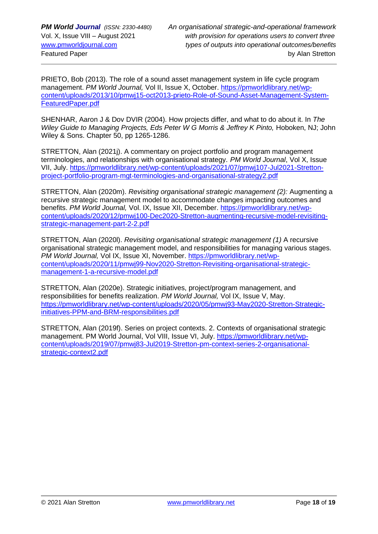PRIETO, Bob (2013). The role of a sound asset management system in life cycle program management. *PM World Journal,* Vol II, Issue X, October. [https://pmworldlibrary.net/wp](https://pmworldlibrary.net/wp-content/uploads/2013/10/pmwj15-oct2013-prieto-Role-of-Sound-Asset-Management-System-FeaturedPaper.pdf)[content/uploads/2013/10/pmwj15-oct2013-prieto-Role-of-Sound-Asset-Management-System-](https://pmworldlibrary.net/wp-content/uploads/2013/10/pmwj15-oct2013-prieto-Role-of-Sound-Asset-Management-System-FeaturedPaper.pdf)[FeaturedPaper.pdf](https://pmworldlibrary.net/wp-content/uploads/2013/10/pmwj15-oct2013-prieto-Role-of-Sound-Asset-Management-System-FeaturedPaper.pdf)

SHENHAR, Aaron J & Dov DVIR (2004). How projects differ, and what to do about it. In *The Wiley Guide to Managing Projects, Eds Peter W G Morris & Jeffrey K Pinto, Hoboken, NJ; John* Wiley & Sons. Chapter 50, pp 1265-1286.

STRETTON, Alan (2021j). A commentary on project portfolio and program management terminologies, and relationships with organisational strategy. *PM World Journal*, Vol X, Issue VII, July. [https://pmworldlibrary.net/wp-content/uploads/2021/07/pmwj107-Jul2021-Stretton](https://pmworldlibrary.net/wp-content/uploads/2021/07/pmwj107-Jul2021-Stretton-project-portfolio-program-mgt-terminologies-and-organisational-strategy2.pdf)[project-portfolio-program-mgt-terminologies-and-organisational-strategy2.pdf](https://pmworldlibrary.net/wp-content/uploads/2021/07/pmwj107-Jul2021-Stretton-project-portfolio-program-mgt-terminologies-and-organisational-strategy2.pdf)

STRETTON, Alan (2020m). *Revisiting organisational strategic management (2):* Augmenting a recursive strategic management model to accommodate changes impacting outcomes and benefits. *PM World Journal,* Vol. IX, Issue XII, December. [https://pmworldlibrary.net/wp](https://pmworldlibrary.net/wp-content/uploads/2020/12/pmwj100-Dec2020-Stretton-augmenting-recursive-model-revisiting-strategic-management-part-2-2.pdf)[content/uploads/2020/12/pmwj100-Dec2020-Stretton-augmenting-recursive-model-revisiting](https://pmworldlibrary.net/wp-content/uploads/2020/12/pmwj100-Dec2020-Stretton-augmenting-recursive-model-revisiting-strategic-management-part-2-2.pdf)[strategic-management-part-2-2.pdf](https://pmworldlibrary.net/wp-content/uploads/2020/12/pmwj100-Dec2020-Stretton-augmenting-recursive-model-revisiting-strategic-management-part-2-2.pdf)

STRETTON, Alan (2020l). *Revisiting organisational strategic management (1)* A recursive organisational strategic management model, and responsibilities for managing various stages. *PM World Journal,* Vol IX, Issue XI, November. [https://pmworldlibrary.net/wp](https://pmworldlibrary.net/wp-content/uploads/2020/11/pmwj99-Nov2020-Stretton-Revisiting-organisational-strategic-management-1-a-recursive-model.pdf)[content/uploads/2020/11/pmwj99-Nov2020-Stretton-Revisiting-organisational-strategic](https://pmworldlibrary.net/wp-content/uploads/2020/11/pmwj99-Nov2020-Stretton-Revisiting-organisational-strategic-management-1-a-recursive-model.pdf)[management-1-a-recursive-model.pdf](https://pmworldlibrary.net/wp-content/uploads/2020/11/pmwj99-Nov2020-Stretton-Revisiting-organisational-strategic-management-1-a-recursive-model.pdf)

STRETTON, Alan (2020e). Strategic initiatives, project/program management, and responsibilities for benefits realization. *PM World Journal,* Vol IX, Issue V, May. [https://pmworldlibrary.net/wp-content/uploads/2020/05/pmwj93-May2020-Stretton-Strategic](https://pmworldlibrary.net/wp-content/uploads/2020/05/pmwj93-May2020-Stretton-Strategic-initiatives-PPM-and-BRM-responsibilities.pdf)[initiatives-PPM-and-BRM-responsibilities.pdf](https://pmworldlibrary.net/wp-content/uploads/2020/05/pmwj93-May2020-Stretton-Strategic-initiatives-PPM-and-BRM-responsibilities.pdf)

STRETTON, Alan (2019f). Series on project contexts. 2. Contexts of organisational strategic management. PM World Journal, Vol VIII, Issue VI, July. [https://pmworldlibrary.net/wp](https://pmworldlibrary.net/wp-content/uploads/2019/07/pmwj83-Jul2019-Stretton-pm-context-series-2-organisational-strategic-context2.pdf)[content/uploads/2019/07/pmwj83-Jul2019-Stretton-pm-context-series-2-organisational](https://pmworldlibrary.net/wp-content/uploads/2019/07/pmwj83-Jul2019-Stretton-pm-context-series-2-organisational-strategic-context2.pdf)[strategic-context2.pdf](https://pmworldlibrary.net/wp-content/uploads/2019/07/pmwj83-Jul2019-Stretton-pm-context-series-2-organisational-strategic-context2.pdf)